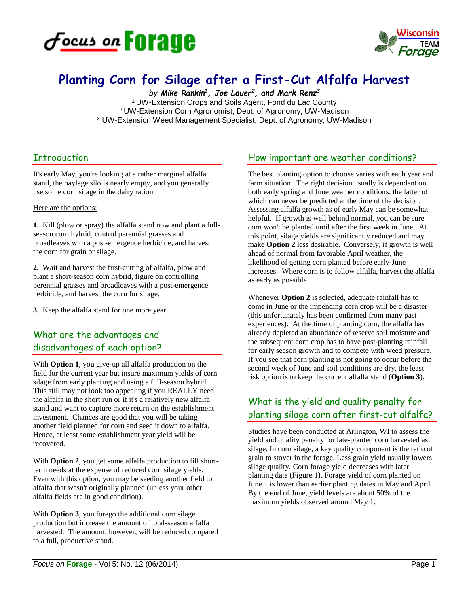



# **Planting Corn for Silage after a First-Cut Alfalfa Harvest**

*by Mike Rankin1, Joe Lauer2, and Mark Renz3* 1 UW-Extension Crops and Soils Agent, Fond du Lac County 2 UW-Extension Corn Agronomist, Dept. of Agronomy, UW-Madison <sup>3</sup> UW-Extension Weed Management Specialist, Dept. of Agronomy, UW-Madison

### **Introduction**

It's early May, you're looking at a rather marginal alfalfa stand, the haylage silo is nearly empty, and you generally use some corn silage in the dairy ration.

#### Here are the options:

**1.** Kill (plow or spray) the alfalfa stand now and plant a fullseason corn hybrid, control perennial grasses and broadleaves with a post-emergence herbicide, and harvest the corn for grain or silage.

**2.** Wait and harvest the first-cutting of alfalfa, plow and plant a short-season corn hybrid, figure on controlling perennial grasses and broadleaves with a post-emergence herbicide, and harvest the corn for silage.

**3.** Keep the alfalfa stand for one more year.

## What are the advantages and disadvantages of each option?

With **Option 1**, you give-up all alfalfa production on the field for the current year but insure maximum yields of corn silage from early planting and using a full-season hybrid. This still may not look too appealing if you REALLY need the alfalfa in the short run or if it's a relatively new alfalfa stand and want to capture more return on the establishment investment. Chances are good that you will be taking another field planned for corn and seed it down to alfalfa. Hence, at least some establishment year yield will be recovered.

With **Option 2**, you get some alfalfa production to fill shortterm needs at the expense of reduced corn silage yields. Even with this option, you may be seeding another field to alfalfa that wasn't originally planned (unless your other alfalfa fields are in good condition).

With **Option 3**, you forego the additional corn silage production but increase the amount of total-season alfalfa harvested. The amount, however, will be reduced compared to a full, productive stand.

### How important are weather conditions?

The best planting option to choose varies with each year and farm situation. The right decision usually is dependent on both early spring and June weather conditions, the latter of which can never be predicted at the time of the decision. Assessing alfalfa growth as of early May can be somewhat helpful. If growth is well behind normal, you can be sure corn won't be planted until after the first week in June. At this point, silage yields are significantly reduced and may make **Option 2** less desirable. Conversely, if growth is well ahead of normal from favorable April weather, the likelihood of getting corn planted before early-June increases. Where corn is to follow alfalfa, harvest the alfalfa as early as possible.

Whenever **Option 2** is selected, adequate rainfall has to come in June or the impending corn crop will be a disaster (this unfortunately has been confirmed from many past experiences). At the time of planting corn, the alfalfa has already depleted an abundance of reserve soil moisture and the subsequent corn crop has to have post-planting rainfall for early season growth and to compete with weed pressure. If you see that corn planting is not going to occur before the second week of June and soil conditions are dry, the least risk option is to keep the current alfalfa stand (**Option 3**).

## What is the yield and quality penalty for planting silage corn after first-cut alfalfa?

Studies have been conducted at Arlington, WI to assess the yield and quality penalty for late-planted corn harvested as silage. In corn silage, a key quality component is the ratio of grain to stover in the forage. Less grain yield usually lowers silage quality. Corn forage yield decreases with later planting date (Figure 1). Forage yield of corn planted on June 1 is lower than earlier planting dates in May and April. By the end of June, yield levels are about 50% of the maximum yields observed around May 1.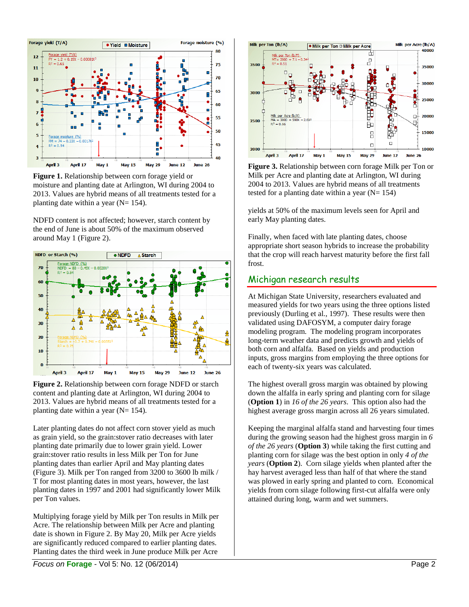

**Figure 1.** Relationship between corn forage yield or moisture and planting date at Arlington, WI during 2004 to 2013. Values are hybrid means of all treatments tested for a planting date within a year ( $N= 154$ ).

NDFD content is not affected; however, starch content by the end of June is about 50% of the maximum observed around May 1 (Figure 2).





Later planting dates do not affect corn stover yield as much as grain yield, so the grain:stover ratio decreases with later planting date primarily due to lower grain yield. Lower grain:stover ratio results in less Milk per Ton for June planting dates than earlier April and May planting dates (Figure 3). Milk per Ton ranged from 3200 to 3600 lb milk / T for most planting dates in most years, however, the last planting dates in 1997 and 2001 had significantly lower Milk per Ton values.

Multiplying forage yield by Milk per Ton results in Milk per Acre. The relationship between Milk per Acre and planting date is shown in Figure 2. By May 20, Milk per Acre yields are significantly reduced compared to earlier planting dates. Planting dates the third week in June produce Milk per Acre



**Figure 3.** Relationship between corn forage Milk per Ton or Milk per Acre and planting date at Arlington, WI during 2004 to 2013. Values are hybrid means of all treatments tested for a planting date within a year  $(N= 154)$ 

yields at 50% of the maximum levels seen for April and early May planting dates.

Finally, when faced with late planting dates, choose appropriate short season hybrids to increase the probability that the crop will reach harvest maturity before the first fall frost.

#### Michigan research results

At Michigan State University, researchers evaluated and measured yields for two years using the three options listed previously (Durling et al., 1997). These results were then validated using DAFOSYM, a computer dairy forage modeling program. The modeling program incorporates long-term weather data and predicts growth and yields of both corn and alfalfa. Based on yields and production inputs, gross margins from employing the three options for each of twenty-six years was calculated.

The highest overall gross margin was obtained by plowing down the alfalfa in early spring and planting corn for silage (**Option 1**) in *16 of the 26 years*. This option also had the highest average gross margin across all 26 years simulated.

Keeping the marginal alfalfa stand and harvesting four times during the growing season had the highest gross margin in *6 of the 26 years* (**Option 3**) while taking the first cutting and planting corn for silage was the best option in only *4 of the years* (**Option 2**). Corn silage yields when planted after the hay harvest averaged less than half of that where the stand was plowed in early spring and planted to corn. Economical yields from corn silage following first-cut alfalfa were only attained during long, warm and wet summers.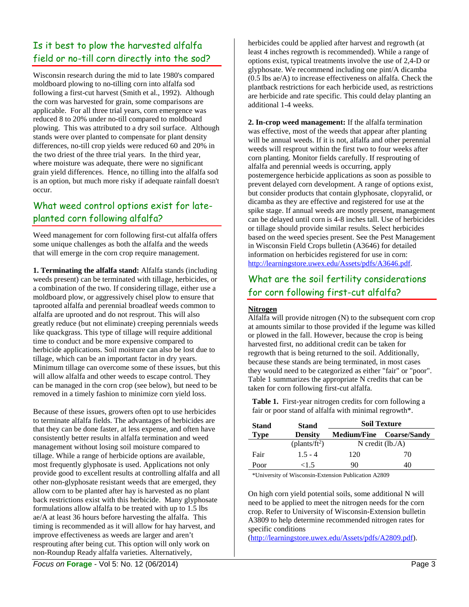## Is it best to plow the harvested alfalfa field or no-till corn directly into the sod?

Wisconsin research during the mid to late 1980's compared moldboard plowing to no-tilling corn into alfalfa sod following a first-cut harvest (Smith et al., 1992). Although the corn was harvested for grain, some comparisons are applicable. For all three trial years, corn emergence was reduced 8 to 20% under no-till compared to moldboard plowing. This was attributed to a dry soil surface. Although stands were over planted to compensate for plant density differences, no-till crop yields were reduced 60 and 20% in the two driest of the three trial years. In the third year, where moisture was adequate, there were no significant grain yield differences. Hence, no tilling into the alfalfa sod is an option, but much more risky if adequate rainfall doesn't occur.

## What weed control options exist for lateplanted corn following alfalfa?

Weed management for corn following first-cut alfalfa offers some unique challenges as both the alfalfa and the weeds that will emerge in the corn crop require management.

**1. Terminating the alfalfa stand:** Alfalfa stands (including weeds present) can be terminated with tillage, herbicides, or a combination of the two. If considering tillage, either use a moldboard plow, or aggressively chisel plow to ensure that taprooted alfalfa and perennial broadleaf weeds common to alfalfa are uprooted and do not resprout. This will also greatly reduce (but not eliminate) creeping perennials weeds like quackgrass. This type of tillage will require additional time to conduct and be more expensive compared to herbicide applications. Soil moisture can also be lost due to tillage, which can be an important factor in dry years. Minimum tillage can overcome some of these issues, but this will allow alfalfa and other weeds to escape control. They can be managed in the corn crop (see below), but need to be removed in a timely fashion to minimize corn yield loss.

Because of these issues, growers often opt to use herbicides to terminate alfalfa fields. The advantages of herbicides are that they can be done faster, at less expense, and often have consistently better results in alfalfa termination and weed management without losing soil moisture compared to tillage. While a range of herbicide options are available, most frequently glyphosate is used. Applications not only provide good to excellent results at controlling alfalfa and all other non-glyphosate resistant weeds that are emerged, they allow corn to be planted after hay is harvested as no plant back restrictions exist with this herbicide. Many glyphosate formulations allow alfalfa to be treated with up to 1.5 lbs ae/A at least 36 hours before harvesting the alfalfa. This timing is recommended as it will allow for hay harvest, and improve effectiveness as weeds are larger and aren't resprouting after being cut. This option will only work on non-Roundup Ready alfalfa varieties. Alternatively,

herbicides could be applied after harvest and regrowth (at least 4 inches regrowth is recommended). While a range of options exist, typical treatments involve the use of 2,4-D or glyphosate. We recommend including one pint/A dicamba (0.5 lbs ae/A) to increase effectiveness on alfalfa. Check the plantback restrictions for each herbicide used, as restrictions are herbicide and rate specific. This could delay planting an additional 1-4 weeks.

**2. In-crop weed management:** If the alfalfa termination was effective, most of the weeds that appear after planting will be annual weeds. If it is not, alfalfa and other perennial weeds will resprout within the first two to four weeks after corn planting. Monitor fields carefully. If resprouting of alfalfa and perennial weeds is occurring, apply postemergence herbicide applications as soon as possible to prevent delayed corn development. A range of options exist, but consider products that contain glyphosate, clopyralid, or dicamba as they are effective and registered for use at the spike stage. If annual weeds are mostly present, management can be delayed until corn is 4-8 inches tall. Use of herbicides or tillage should provide similar results. Select herbicides based on the weed species present. See the Pest Management in Wisconsin Field Crops bulletin (A3646) for detailed information on herbicides registered for use in corn: [http://learningstore.uwex.edu/Assets/pdfs/A3646.pdf.](http://learningstore.uwex.edu/Assets/pdfs/A3646.pdf)

## What are the soil fertility considerations for corn following first-cut alfalfa?

#### **Nitrogen**

Alfalfa will provide nitrogen (N) to the subsequent corn crop at amounts similar to those provided if the legume was killed or plowed in the fall. However, because the crop is being harvested first, no additional credit can be taken for regrowth that is being returned to the soil. Additionally, because these stands are being terminated, in most cases they would need to be categorized as either "fair" or "poor". Table 1 summarizes the appropriate N credits that can be taken for corn following first-cut alfalfa.

**Table 1.** First-year nitrogen credits for corn following a fair or poor stand of alfalfa with minimal regrowth\*.

| <b>Stand</b> | <b>Stand</b>              | <b>Soil Texture</b> |                                 |
|--------------|---------------------------|---------------------|---------------------------------|
| <b>Type</b>  | <b>Density</b>            |                     | <b>Medium/Fine Coarse/Sandy</b> |
|              | (plants/ft <sup>2</sup> ) | N credit $(lb./A)$  |                                 |
| Fair         | $1.5 - 4$                 | 120                 | 70                              |
| Poor         | $<$ 1 5                   | 90                  | 40                              |

\*University of Wisconsin-Extension Publication A2809

On high corn yield potential soils, some additional N will need to be applied to meet the nitrogen needs for the corn crop. Refer to University of Wisconsin-Extension bulletin A3809 to help determine recommended nitrogen rates for specific conditions

[\(http://learningstore.uwex.edu/Assets/pdfs/A2809.pdf\)](http://learningstore.uwex.edu/Assets/pdfs/A2809.pdf).